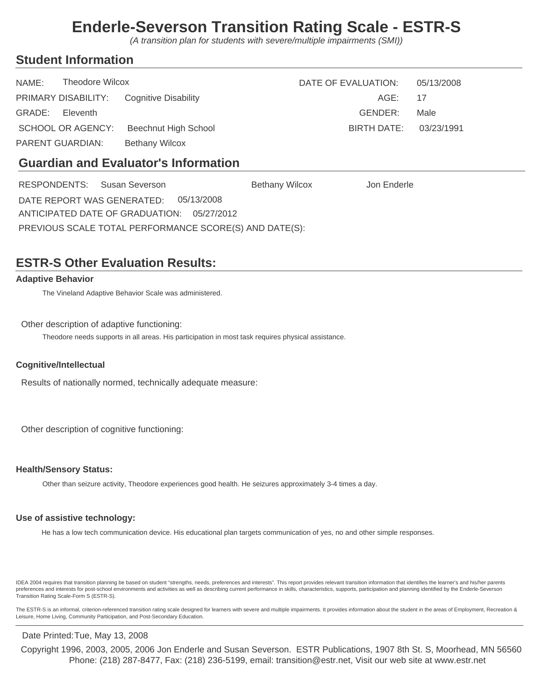(A transition plan for students with severe/multiple impairments (SMI))

### **Student Information**

| NAME:            | Theodore Wilcox |                                          | DATE OF EVALUATION:    | 05/13/2008 |
|------------------|-----------------|------------------------------------------|------------------------|------------|
|                  |                 | PRIMARY DISABILITY: Cognitive Disability | AGE: 17                |            |
| GRADE: Eleventh  |                 |                                          | GENDER:                | Male       |
|                  |                 | SCHOOL OR AGENCY: Beechnut High School   | BIRTH DATE: 03/23/1991 |            |
| PARENT GUARDIAN: |                 | <b>Bethany Wilcox</b>                    |                        |            |

### **Guardian and Evaluator's Information**

| Bethany Wilcox                                         | Jon Enderle                           |  |  |  |  |  |
|--------------------------------------------------------|---------------------------------------|--|--|--|--|--|
|                                                        |                                       |  |  |  |  |  |
| ANTICIPATED DATE OF GRADUATION: 05/27/2012             |                                       |  |  |  |  |  |
| PREVIOUS SCALE TOTAL PERFORMANCE SCORE(S) AND DATE(S): |                                       |  |  |  |  |  |
|                                                        | DATE REPORT WAS GENERATED: 05/13/2008 |  |  |  |  |  |

## **ESTR-S Other Evaluation Results:**

### **Adaptive Behavior**

The Vineland Adaptive Behavior Scale was administered.

#### Other description of adaptive functioning:

Theodore needs supports in all areas. His participation in most task requires physical assistance.

#### **Cognitive/Intellectual**

Results of nationally normed, technically adequate measure:

Other description of cognitive functioning:

#### **Health/Sensory Status:**

Other than seizure activity, Theodore experiences good health. He seizures approximately 3-4 times a day.

#### **Use of assistive technology:**

He has a low tech communication device. His educational plan targets communication of yes, no and other simple responses.

IDEA 2004 requires that transition planning be based on student "strengths, needs, preferences and interests". This report provides relevant transition information that identifies the learner's and his/her parents preferences and interests for post-school environments and activities as well as describing current performance in skills, characteristics, supports, participation and planning identified by the Enderle-Severson Transition Rating Scale-Form S (ESTR-S).

The ESTR-S is an informal, criterion-referenced transition rating scale designed for learners with severe and multiple impairments. It provides information about the student in the areas of Employment, Recreation & Leisure, Home Living, Community Participation, and Post-Secondary Education.

#### Date Printed: Tue, May 13, 2008

Phone: (218) 287-8477, Fax: (218) 236-5199, email: transition@estr.net, Visit our web site at www.estr.net Copyright 1996, 2003, 2005, 2006 Jon Enderle and Susan Severson. ESTR Publications, 1907 8th St. S, Moorhead, MN 56560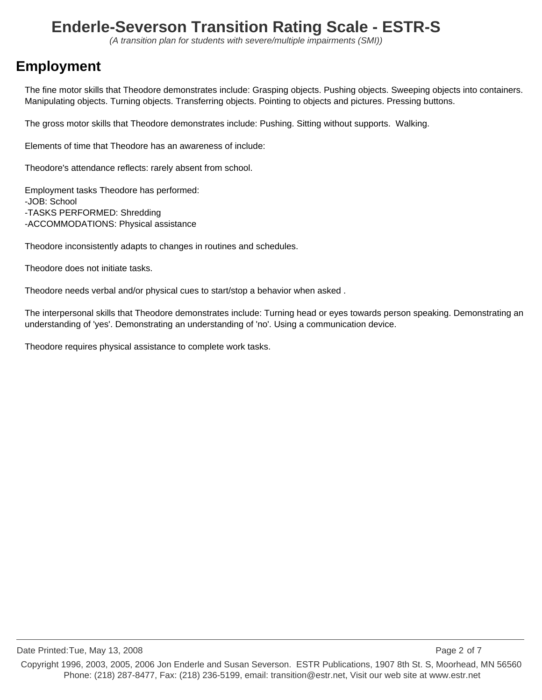(A transition plan for students with severe/multiple impairments (SMI))

## **Employment**

The fine motor skills that Theodore demonstrates include: Grasping objects. Pushing objects. Sweeping objects into containers. Manipulating objects. Turning objects. Transferring objects. Pointing to objects and pictures. Pressing buttons.

The gross motor skills that Theodore demonstrates include: Pushing. Sitting without supports. Walking.

Elements of time that Theodore has an awareness of include:

Theodore's attendance reflects: rarely absent from school.

Employment tasks Theodore has performed: -JOB: School -TASKS PERFORMED: Shredding -ACCOMMODATIONS: Physical assistance

Theodore inconsistently adapts to changes in routines and schedules.

Theodore does not initiate tasks.

Theodore needs verbal and/or physical cues to start/stop a behavior when asked .

The interpersonal skills that Theodore demonstrates include: Turning head or eyes towards person speaking. Demonstrating an understanding of 'yes'. Demonstrating an understanding of 'no'. Using a communication device.

Theodore requires physical assistance to complete work tasks.

Date Printed:Tue, May 13, 2008 Page 2 of 7 Phone: (218) 287-8477, Fax: (218) 236-5199, email: transition@estr.net, Visit our web site at www.estr.net Copyright 1996, 2003, 2005, 2006 Jon Enderle and Susan Severson. ESTR Publications, 1907 8th St. S, Moorhead, MN 56560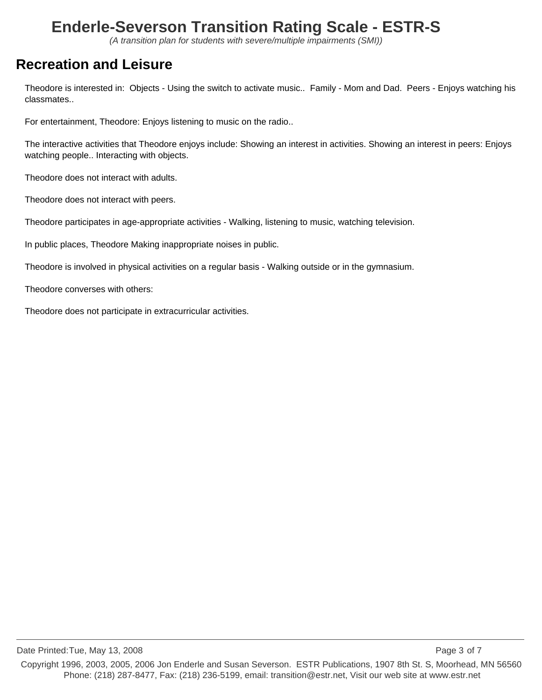(A transition plan for students with severe/multiple impairments (SMI))

## **Recreation and Leisure**

Theodore is interested in: Objects - Using the switch to activate music.. Family - Mom and Dad. Peers - Enjoys watching his classmates..

For entertainment, Theodore: Enjoys listening to music on the radio..

The interactive activities that Theodore enjoys include: Showing an interest in activities. Showing an interest in peers: Enjoys watching people.. Interacting with objects.

Theodore does not interact with adults.

Theodore does not interact with peers.

Theodore participates in age-appropriate activities - Walking, listening to music, watching television.

In public places, Theodore Making inappropriate noises in public.

Theodore is involved in physical activities on a regular basis - Walking outside or in the gymnasium.

Theodore converses with others:

Theodore does not participate in extracurricular activities.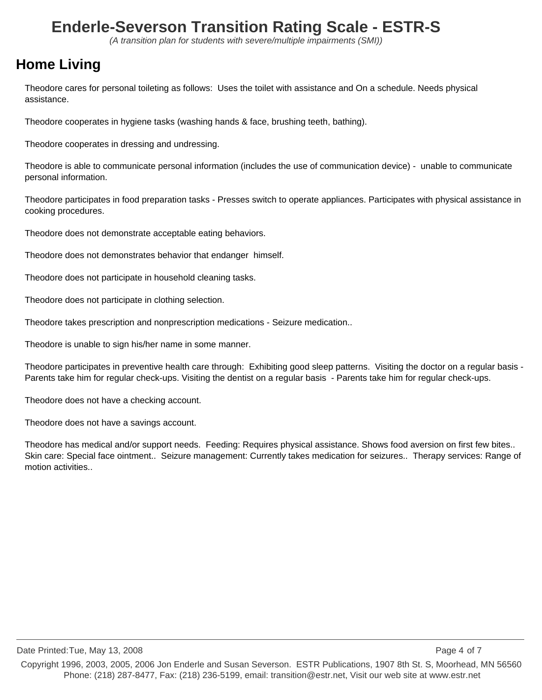(A transition plan for students with severe/multiple impairments (SMI))

## **Home Living**

Theodore cares for personal toileting as follows: Uses the toilet with assistance and On a schedule. Needs physical assistance.

Theodore cooperates in hygiene tasks (washing hands & face, brushing teeth, bathing).

Theodore cooperates in dressing and undressing.

Theodore is able to communicate personal information (includes the use of communication device) - unable to communicate personal information.

Theodore participates in food preparation tasks - Presses switch to operate appliances. Participates with physical assistance in cooking procedures.

Theodore does not demonstrate acceptable eating behaviors.

Theodore does not demonstrates behavior that endanger himself.

Theodore does not participate in household cleaning tasks.

Theodore does not participate in clothing selection.

Theodore takes prescription and nonprescription medications - Seizure medication..

Theodore is unable to sign his/her name in some manner.

Theodore participates in preventive health care through: Exhibiting good sleep patterns. Visiting the doctor on a regular basis - Parents take him for regular check-ups. Visiting the dentist on a regular basis - Parents take him for regular check-ups.

Theodore does not have a checking account.

Theodore does not have a savings account.

Theodore has medical and/or support needs. Feeding: Requires physical assistance. Shows food aversion on first few bites.. Skin care: Special face ointment.. Seizure management: Currently takes medication for seizures.. Therapy services: Range of motion activities..

Date Printed:Tue, May 13, 2008 Page 4 of 7

Phone: (218) 287-8477, Fax: (218) 236-5199, email: transition@estr.net, Visit our web site at www.estr.net Copyright 1996, 2003, 2005, 2006 Jon Enderle and Susan Severson. ESTR Publications, 1907 8th St. S, Moorhead, MN 56560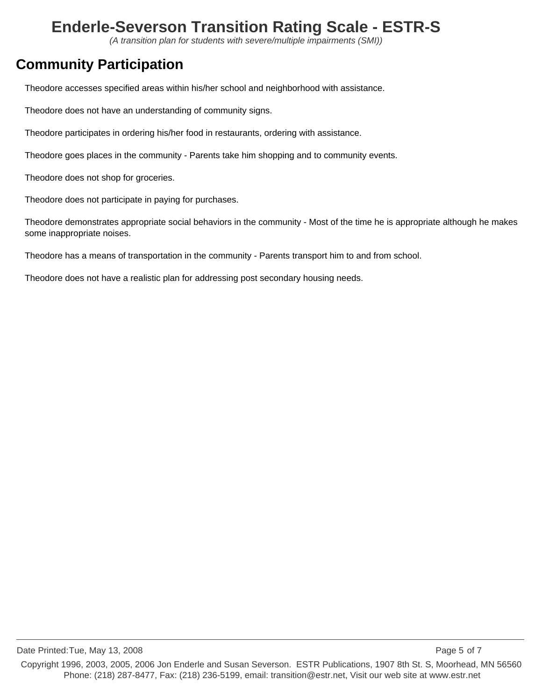(A transition plan for students with severe/multiple impairments (SMI))

## **Community Participation**

Theodore accesses specified areas within his/her school and neighborhood with assistance.

Theodore does not have an understanding of community signs.

Theodore participates in ordering his/her food in restaurants, ordering with assistance.

Theodore goes places in the community - Parents take him shopping and to community events.

Theodore does not shop for groceries.

Theodore does not participate in paying for purchases.

Theodore demonstrates appropriate social behaviors in the community - Most of the time he is appropriate although he makes some inappropriate noises.

Theodore has a means of transportation in the community - Parents transport him to and from school.

Theodore does not have a realistic plan for addressing post secondary housing needs.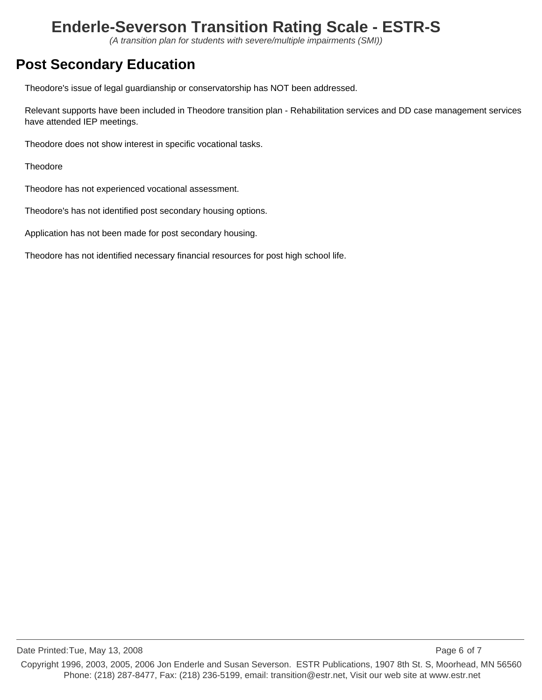(A transition plan for students with severe/multiple impairments (SMI))

## **Post Secondary Education**

Theodore's issue of legal guardianship or conservatorship has NOT been addressed.

Relevant supports have been included in Theodore transition plan - Rehabilitation services and DD case management services have attended IEP meetings.

Theodore does not show interest in specific vocational tasks.

**Theodore** 

Theodore has not experienced vocational assessment.

Theodore's has not identified post secondary housing options.

Application has not been made for post secondary housing.

Theodore has not identified necessary financial resources for post high school life.